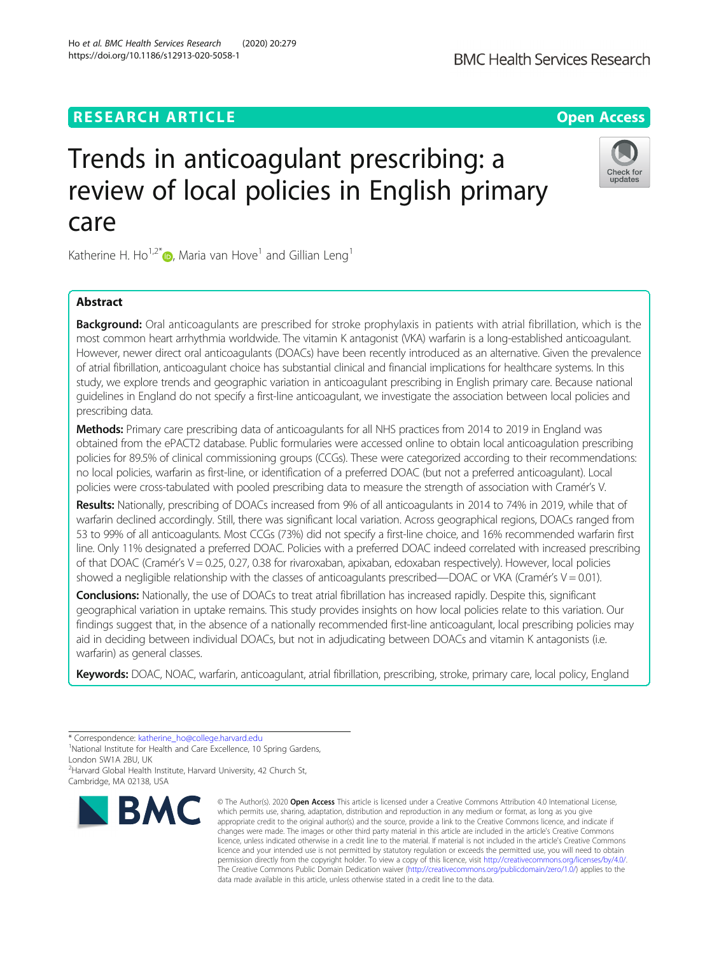# **RESEARCH ARTICLE Example 2014 12:30 The Contract of Contract ACCESS**

# Trends in anticoagulant prescribing: a review of local policies in English primary care

Katherine H. Ho<sup>1,2[\\*](http://orcid.org/0000-0001-5078-6556)</sup>  $\bullet$ , Maria van Hove<sup>1</sup> and Gillian Leng<sup>1</sup>

# Abstract

**Background:** Oral anticoagulants are prescribed for stroke prophylaxis in patients with atrial fibrillation, which is the most common heart arrhythmia worldwide. The vitamin K antagonist (VKA) warfarin is a long-established anticoagulant. However, newer direct oral anticoagulants (DOACs) have been recently introduced as an alternative. Given the prevalence of atrial fibrillation, anticoagulant choice has substantial clinical and financial implications for healthcare systems. In this study, we explore trends and geographic variation in anticoagulant prescribing in English primary care. Because national guidelines in England do not specify a first-line anticoagulant, we investigate the association between local policies and prescribing data.

Methods: Primary care prescribing data of anticoagulants for all NHS practices from 2014 to 2019 in England was obtained from the ePACT2 database. Public formularies were accessed online to obtain local anticoagulation prescribing policies for 89.5% of clinical commissioning groups (CCGs). These were categorized according to their recommendations: no local policies, warfarin as first-line, or identification of a preferred DOAC (but not a preferred anticoagulant). Local policies were cross-tabulated with pooled prescribing data to measure the strength of association with Cramér's V.

Results: Nationally, prescribing of DOACs increased from 9% of all anticoagulants in 2014 to 74% in 2019, while that of warfarin declined accordingly. Still, there was significant local variation. Across geographical regions, DOACs ranged from 53 to 99% of all anticoagulants. Most CCGs (73%) did not specify a first-line choice, and 16% recommended warfarin first line. Only 11% designated a preferred DOAC. Policies with a preferred DOAC indeed correlated with increased prescribing of that DOAC (Cramér's V = 0.25, 0.27, 0.38 for rivaroxaban, apixaban, edoxaban respectively). However, local policies showed a negligible relationship with the classes of anticoagulants prescribed—DOAC or VKA (Cramér's  $V = 0.01$ ).

Conclusions: Nationally, the use of DOACs to treat atrial fibrillation has increased rapidly. Despite this, significant geographical variation in uptake remains. This study provides insights on how local policies relate to this variation. Our findings suggest that, in the absence of a nationally recommended first-line anticoagulant, local prescribing policies may aid in deciding between individual DOACs, but not in adjudicating between DOACs and vitamin K antagonists (i.e. warfarin) as general classes.

Keywords: DOAC, NOAC, warfarin, anticoagulant, atrial fibrillation, prescribing, stroke, primary care, local policy, England

**BMC** 

#### © The Author(s), 2020 **Open Access** This article is licensed under a Creative Commons Attribution 4.0 International License, which permits use, sharing, adaptation, distribution and reproduction in any medium or format, as long as you give appropriate credit to the original author(s) and the source, provide a link to the Creative Commons licence, and indicate if changes were made. The images or other third party material in this article are included in the article's Creative Commons licence, unless indicated otherwise in a credit line to the material. If material is not included in the article's Creative Commons licence and your intended use is not permitted by statutory regulation or exceeds the permitted use, you will need to obtain permission directly from the copyright holder. To view a copy of this licence, visit [http://creativecommons.org/licenses/by/4.0/.](http://creativecommons.org/licenses/by/4.0/) The Creative Commons Public Domain Dedication waiver [\(http://creativecommons.org/publicdomain/zero/1.0/](http://creativecommons.org/publicdomain/zero/1.0/)) applies to the data made available in this article, unless otherwise stated in a credit line to the data.







<sup>\*</sup> Correspondence: [katherine\\_ho@college.harvard.edu](mailto:katherine_ho@college.harvard.edu) <sup>1</sup>

<sup>&</sup>lt;sup>1</sup>National Institute for Health and Care Excellence, 10 Spring Gardens, London SW1A 2BU, UK

<sup>&</sup>lt;sup>2</sup> Harvard Global Health Institute, Harvard University, 42 Church St, Cambridge, MA 02138, USA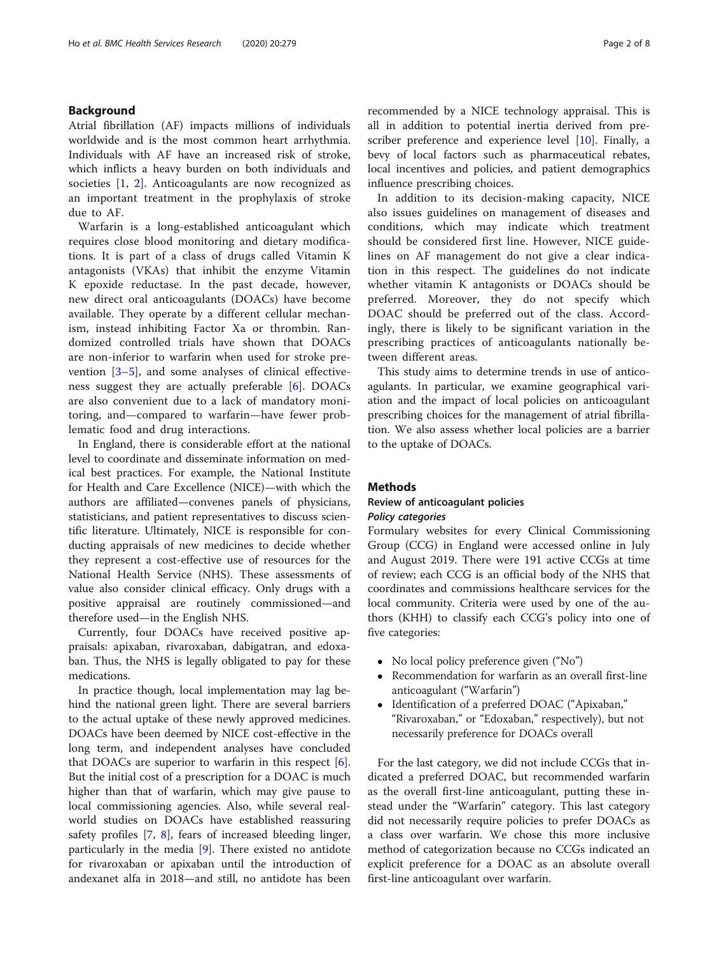## Background

Atrial fibrillation (AF) impacts millions of individuals worldwide and is the most common heart arrhythmia. Individuals with AF have an increased risk of stroke, which inflicts a heavy burden on both individuals and societies [\[1](#page-6-0), [2](#page-6-0)]. Anticoagulants are now recognized as an important treatment in the prophylaxis of stroke due to AF.

Warfarin is a long-established anticoagulant which requires close blood monitoring and dietary modifications. It is part of a class of drugs called Vitamin K antagonists (VKAs) that inhibit the enzyme Vitamin K epoxide reductase. In the past decade, however, new direct oral anticoagulants (DOACs) have become available. They operate by a different cellular mechanism, instead inhibiting Factor Xa or thrombin. Randomized controlled trials have shown that DOACs are non-inferior to warfarin when used for stroke prevention [[3](#page-6-0)–[5\]](#page-6-0), and some analyses of clinical effectiveness suggest they are actually preferable [\[6](#page-7-0)]. DOACs are also convenient due to a lack of mandatory monitoring, and—compared to warfarin—have fewer problematic food and drug interactions.

In England, there is considerable effort at the national level to coordinate and disseminate information on medical best practices. For example, the National Institute for Health and Care Excellence (NICE)—with which the authors are affiliated—convenes panels of physicians, statisticians, and patient representatives to discuss scientific literature. Ultimately, NICE is responsible for conducting appraisals of new medicines to decide whether they represent a cost-effective use of resources for the National Health Service (NHS). These assessments of value also consider clinical efficacy. Only drugs with a positive appraisal are routinely commissioned—and therefore used—in the English NHS.

Currently, four DOACs have received positive appraisals: apixaban, rivaroxaban, dabigatran, and edoxaban. Thus, the NHS is legally obligated to pay for these medications.

In practice though, local implementation may lag behind the national green light. There are several barriers to the actual uptake of these newly approved medicines. DOACs have been deemed by NICE cost-effective in the long term, and independent analyses have concluded that DOACs are superior to warfarin in this respect  $[6]$  $[6]$ . But the initial cost of a prescription for a DOAC is much higher than that of warfarin, which may give pause to local commissioning agencies. Also, while several realworld studies on DOACs have established reassuring safety profiles [[7,](#page-7-0) [8](#page-7-0)], fears of increased bleeding linger, particularly in the media [[9\]](#page-7-0). There existed no antidote for rivaroxaban or apixaban until the introduction of andexanet alfa in 2018—and still, no antidote has been recommended by a NICE technology appraisal. This is all in addition to potential inertia derived from pre-scriber preference and experience level [\[10\]](#page-7-0). Finally, a bevy of local factors such as pharmaceutical rebates, local incentives and policies, and patient demographics influence prescribing choices.

In addition to its decision-making capacity, NICE also issues guidelines on management of diseases and conditions, which may indicate which treatment should be considered first line. However, NICE guidelines on AF management do not give a clear indication in this respect. The guidelines do not indicate whether vitamin K antagonists or DOACs should be preferred. Moreover, they do not specify which DOAC should be preferred out of the class. Accordingly, there is likely to be significant variation in the prescribing practices of anticoagulants nationally between different areas.

This study aims to determine trends in use of anticoagulants. In particular, we examine geographical variation and the impact of local policies on anticoagulant prescribing choices for the management of atrial fibrillation. We also assess whether local policies are a barrier to the uptake of DOACs.

### **Methods**

# Review of anticoagulant policies

Formulary websites for every Clinical Commissioning Group (CCG) in England were accessed online in July and August 2019. There were 191 active CCGs at time of review; each CCG is an official body of the NHS that coordinates and commissions healthcare services for the local community. Criteria were used by one of the authors (KHH) to classify each CCG's policy into one of five categories:

- No local policy preference given ("No")
- Recommendation for warfarin as an overall first-line anticoagulant ("Warfarin")
- Identification of a preferred DOAC ("Apixaban," "Rivaroxaban," or "Edoxaban," respectively), but not necessarily preference for DOACs overall

For the last category, we did not include CCGs that indicated a preferred DOAC, but recommended warfarin as the overall first-line anticoagulant, putting these instead under the "Warfarin" category. This last category did not necessarily require policies to prefer DOACs as a class over warfarin. We chose this more inclusive method of categorization because no CCGs indicated an explicit preference for a DOAC as an absolute overall first-line anticoagulant over warfarin.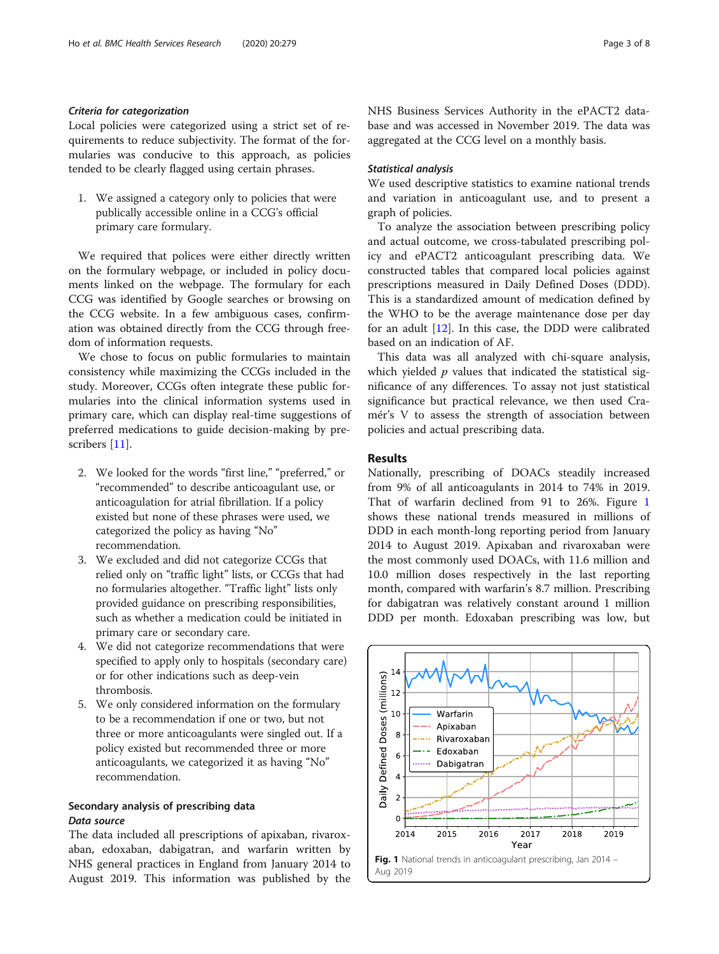<span id="page-2-0"></span>Local policies were categorized using a strict set of requirements to reduce subjectivity. The format of the formularies was conducive to this approach, as policies tended to be clearly flagged using certain phrases.

1. We assigned a category only to policies that were publically accessible online in a CCG's official primary care formulary.

We required that polices were either directly written on the formulary webpage, or included in policy documents linked on the webpage. The formulary for each CCG was identified by Google searches or browsing on the CCG website. In a few ambiguous cases, confirmation was obtained directly from the CCG through freedom of information requests.

We chose to focus on public formularies to maintain consistency while maximizing the CCGs included in the study. Moreover, CCGs often integrate these public formularies into the clinical information systems used in primary care, which can display real-time suggestions of preferred medications to guide decision-making by prescribers [\[11](#page-7-0)].

- 2. We looked for the words "first line," "preferred," or "recommended" to describe anticoagulant use, or anticoagulation for atrial fibrillation. If a policy existed but none of these phrases were used, we categorized the policy as having "No" recommendation.
- 3. We excluded and did not categorize CCGs that relied only on "traffic light" lists, or CCGs that had no formularies altogether. "Traffic light" lists only provided guidance on prescribing responsibilities, such as whether a medication could be initiated in primary care or secondary care.
- 4. We did not categorize recommendations that were specified to apply only to hospitals (secondary care) or for other indications such as deep-vein thrombosis.
- 5. We only considered information on the formulary to be a recommendation if one or two, but not three or more anticoagulants were singled out. If a policy existed but recommended three or more anticoagulants, we categorized it as having "No" recommendation.

# Secondary analysis of prescribing data

The data included all prescriptions of apixaban, rivaroxaban, edoxaban, dabigatran, and warfarin written by NHS general practices in England from January 2014 to August 2019. This information was published by the NHS Business Services Authority in the ePACT2 database and was accessed in November 2019. The data was aggregated at the CCG level on a monthly basis.

We used descriptive statistics to examine national trends and variation in anticoagulant use, and to present a graph of policies.

To analyze the association between prescribing policy and actual outcome, we cross-tabulated prescribing policy and ePACT2 anticoagulant prescribing data. We constructed tables that compared local policies against prescriptions measured in Daily Defined Doses (DDD). This is a standardized amount of medication defined by the WHO to be the average maintenance dose per day for an adult [\[12\]](#page-7-0). In this case, the DDD were calibrated based on an indication of AF.

This data was all analyzed with chi-square analysis, which yielded  $p$  values that indicated the statistical significance of any differences. To assay not just statistical significance but practical relevance, we then used Cramér's V to assess the strength of association between policies and actual prescribing data.

## Results

Nationally, prescribing of DOACs steadily increased from 9% of all anticoagulants in 2014 to 74% in 2019. That of warfarin declined from 91 to 26%. Figure 1 shows these national trends measured in millions of DDD in each month-long reporting period from January 2014 to August 2019. Apixaban and rivaroxaban were the most commonly used DOACs, with 11.6 million and 10.0 million doses respectively in the last reporting month, compared with warfarin's 8.7 million. Prescribing for dabigatran was relatively constant around 1 million DDD per month. Edoxaban prescribing was low, but

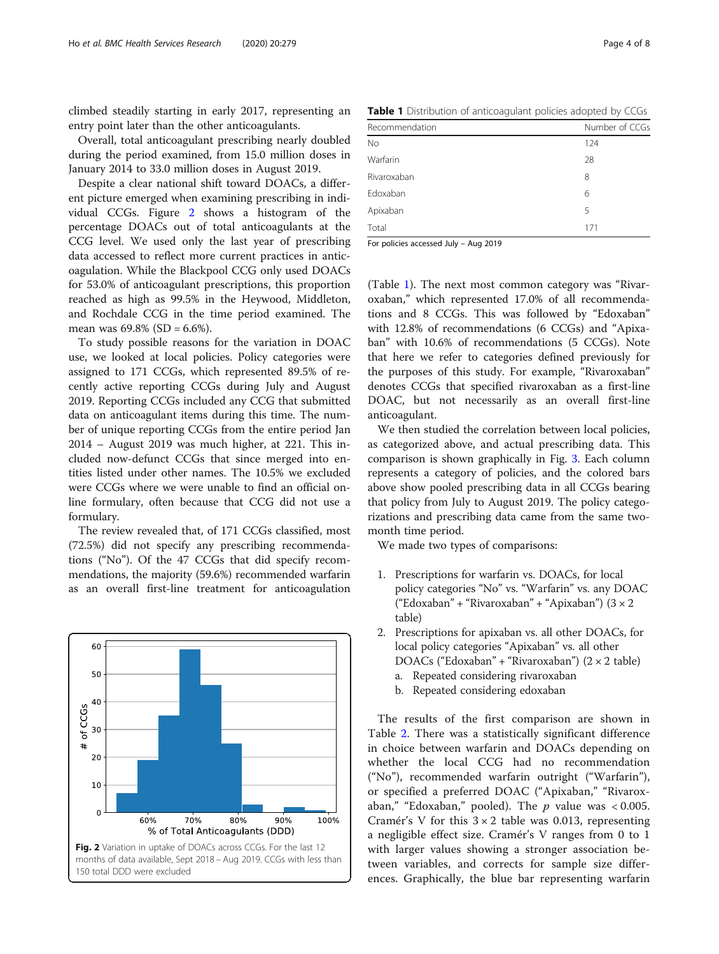<span id="page-3-0"></span>climbed steadily starting in early 2017, representing an entry point later than the other anticoagulants.

Overall, total anticoagulant prescribing nearly doubled during the period examined, from 15.0 million doses in January 2014 to 33.0 million doses in August 2019.

Despite a clear national shift toward DOACs, a different picture emerged when examining prescribing in individual CCGs. Figure 2 shows a histogram of the percentage DOACs out of total anticoagulants at the CCG level. We used only the last year of prescribing data accessed to reflect more current practices in anticoagulation. While the Blackpool CCG only used DOACs for 53.0% of anticoagulant prescriptions, this proportion reached as high as 99.5% in the Heywood, Middleton, and Rochdale CCG in the time period examined. The mean was 69.8% (SD = 6.6%).

To study possible reasons for the variation in DOAC use, we looked at local policies. Policy categories were assigned to 171 CCGs, which represented 89.5% of recently active reporting CCGs during July and August 2019. Reporting CCGs included any CCG that submitted data on anticoagulant items during this time. The number of unique reporting CCGs from the entire period Jan 2014 – August 2019 was much higher, at 221. This included now-defunct CCGs that since merged into entities listed under other names. The 10.5% we excluded were CCGs where we were unable to find an official online formulary, often because that CCG did not use a formulary.

The review revealed that, of 171 CCGs classified, most (72.5%) did not specify any prescribing recommendations ("No"). Of the 47 CCGs that did specify recommendations, the majority (59.6%) recommended warfarin as an overall first-line treatment for anticoagulation



Table 1 Distribution of anticoagulant policies adopted by CCGs

| Recommendation | Number of CCGs |
|----------------|----------------|
| <b>No</b>      | 124            |
| Warfarin       | 28             |
| Rivaroxaban    | 8              |
| Edoxaban       | 6              |
| Apixaban       | 5              |
| Total          | 171            |
|                |                |

For policies accessed July – Aug 2019

(Table 1). The next most common category was "Rivaroxaban," which represented 17.0% of all recommendations and 8 CCGs. This was followed by "Edoxaban" with 12.8% of recommendations (6 CCGs) and "Apixaban" with 10.6% of recommendations (5 CCGs). Note that here we refer to categories defined previously for the purposes of this study. For example, "Rivaroxaban" denotes CCGs that specified rivaroxaban as a first-line DOAC, but not necessarily as an overall first-line anticoagulant.

We then studied the correlation between local policies, as categorized above, and actual prescribing data. This comparison is shown graphically in Fig. [3.](#page-4-0) Each column represents a category of policies, and the colored bars above show pooled prescribing data in all CCGs bearing that policy from July to August 2019. The policy categorizations and prescribing data came from the same twomonth time period.

We made two types of comparisons:

- 1. Prescriptions for warfarin vs. DOACs, for local policy categories "No" vs. "Warfarin" vs. any DOAC ("Edoxaban" + "Rivaroxaban" + "Apixaban") (3 × 2 table)
- 2. Prescriptions for apixaban vs. all other DOACs, for local policy categories "Apixaban" vs. all other DOACs ("Edoxaban" + "Rivaroxaban")  $(2 \times 2 \text{ table})$ 
	- a. Repeated considering rivaroxaban
	- b. Repeated considering edoxaban

The results of the first comparison are shown in Table [2](#page-4-0). There was a statistically significant difference in choice between warfarin and DOACs depending on whether the local CCG had no recommendation ("No"), recommended warfarin outright ("Warfarin"), or specified a preferred DOAC ("Apixaban," "Rivaroxaban," "Edoxaban," pooled). The  $p$  value was < 0.005. Cramér's V for this  $3 \times 2$  table was 0.013, representing a negligible effect size. Cramér's V ranges from 0 to 1 with larger values showing a stronger association between variables, and corrects for sample size differences. Graphically, the blue bar representing warfarin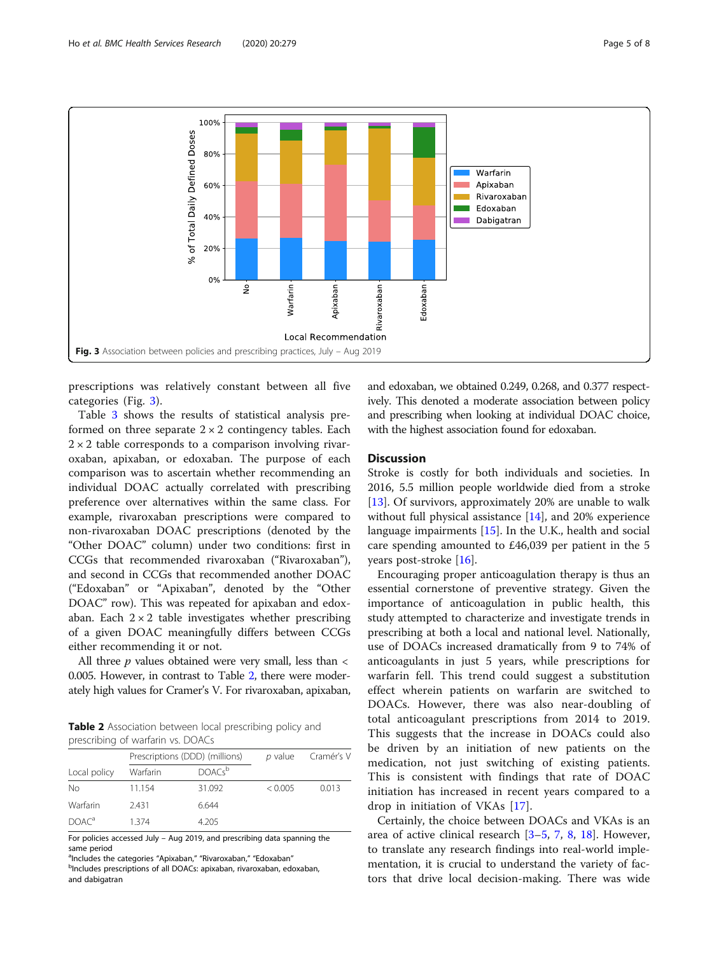<span id="page-4-0"></span>

prescriptions was relatively constant between all five categories (Fig. 3).

Table [3](#page-5-0) shows the results of statistical analysis preformed on three separate  $2 \times 2$  contingency tables. Each  $2 \times 2$  table corresponds to a comparison involving rivaroxaban, apixaban, or edoxaban. The purpose of each comparison was to ascertain whether recommending an individual DOAC actually correlated with prescribing preference over alternatives within the same class. For example, rivaroxaban prescriptions were compared to non-rivaroxaban DOAC prescriptions (denoted by the "Other DOAC" column) under two conditions: first in CCGs that recommended rivaroxaban ("Rivaroxaban"), and second in CCGs that recommended another DOAC ("Edoxaban" or "Apixaban", denoted by the "Other DOAC" row). This was repeated for apixaban and edoxaban. Each  $2 \times 2$  table investigates whether prescribing of a given DOAC meaningfully differs between CCGs either recommending it or not.

All three  $p$  values obtained were very small, less than  $\lt$ 0.005. However, in contrast to Table 2, there were moderately high values for Cramer's V. For rivaroxaban, apixaban,

**Table 2** Association between local prescribing policy and prescribing of warfarin vs. DOACs

|                   | Prescriptions (DDD) (millions) |                    | p value | Cramér's V |
|-------------------|--------------------------------|--------------------|---------|------------|
| Local policy      | Warfarin                       | DOACs <sup>b</sup> |         |            |
| No                | 11.154                         | 31.092             | < 0.005 | 0.013      |
| Warfarin          | 2.431                          | 6.644              |         |            |
| DOAC <sup>a</sup> | 1 3 7 4                        | 4.205              |         |            |

For policies accessed July – Aug 2019, and prescribing data spanning the same period

<sup>a</sup>lncludes the categories "Apixaban," "Rivaroxaban," "Edoxaban"<br><sup>b</sup>includes prescriptions of all DOACs: apixaban, rivaroxaban, edo

<sup>b</sup>Includes prescriptions of all DOACs: apixaban, rivaroxaban, edoxaban, and dabigatran

and edoxaban, we obtained 0.249, 0.268, and 0.377 respectively. This denoted a moderate association between policy and prescribing when looking at individual DOAC choice, with the highest association found for edoxaban.

### **Discussion**

Stroke is costly for both individuals and societies. In 2016, 5.5 million people worldwide died from a stroke [[13\]](#page-7-0). Of survivors, approximately 20% are unable to walk without full physical assistance [\[14](#page-7-0)], and 20% experience language impairments [\[15](#page-7-0)]. In the U.K., health and social care spending amounted to £46,039 per patient in the 5 years post-stroke [\[16](#page-7-0)].

Encouraging proper anticoagulation therapy is thus an essential cornerstone of preventive strategy. Given the importance of anticoagulation in public health, this study attempted to characterize and investigate trends in prescribing at both a local and national level. Nationally, use of DOACs increased dramatically from 9 to 74% of anticoagulants in just 5 years, while prescriptions for warfarin fell. This trend could suggest a substitution effect wherein patients on warfarin are switched to DOACs. However, there was also near-doubling of total anticoagulant prescriptions from 2014 to 2019. This suggests that the increase in DOACs could also be driven by an initiation of new patients on the medication, not just switching of existing patients. This is consistent with findings that rate of DOAC initiation has increased in recent years compared to a drop in initiation of VKAs [[17\]](#page-7-0).

Certainly, the choice between DOACs and VKAs is an area of active clinical research [[3](#page-6-0)–[5,](#page-6-0) [7](#page-7-0), [8](#page-7-0), [18\]](#page-7-0). However, to translate any research findings into real-world implementation, it is crucial to understand the variety of factors that drive local decision-making. There was wide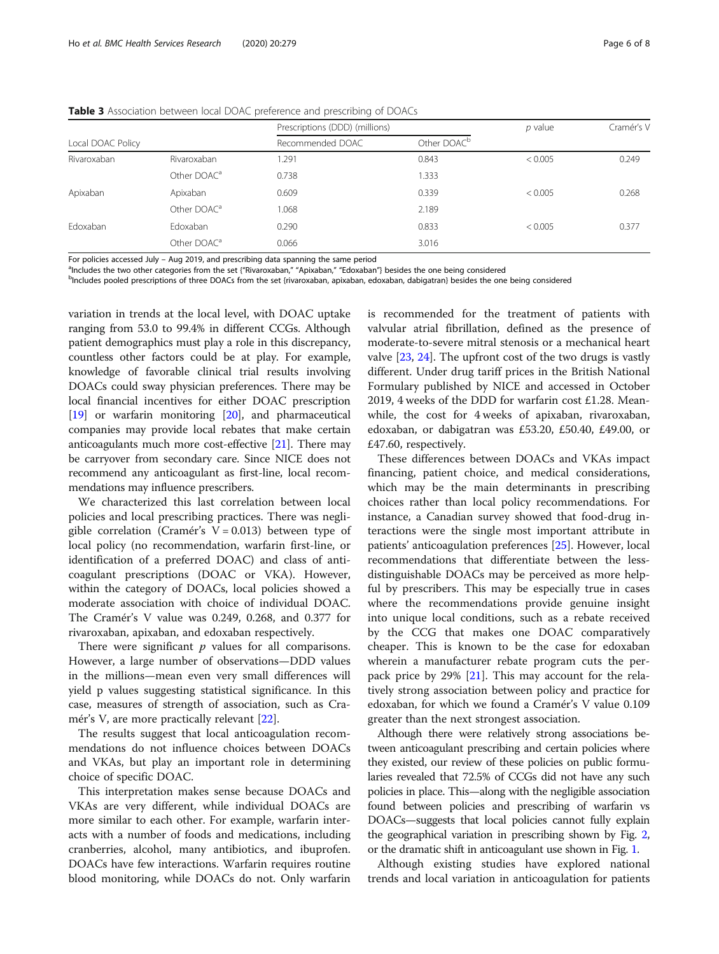|                   |                         | Prescriptions (DDD) (millions) |                         | $p$ value | Cramér's V |
|-------------------|-------------------------|--------------------------------|-------------------------|-----------|------------|
| Local DOAC Policy |                         | Recommended DOAC               | Other DOAC <sup>b</sup> |           |            |
| Rivaroxaban       | Rivaroxaban             | 1.291                          | 0.843                   | < 0.005   | 0.249      |
|                   | Other DOAC <sup>a</sup> | 0.738                          | 1.333                   |           |            |
| Apixaban          | Apixaban                | 0.609                          | 0.339                   | < 0.005   | 0.268      |
|                   | Other DOAC <sup>a</sup> | 1.068                          | 2.189                   |           |            |
| Edoxaban          | Edoxaban                | 0.290                          | 0.833                   | < 0.005   | 0.377      |
|                   | Other DOAC <sup>a</sup> | 0.066                          | 3.016                   |           |            |

<span id="page-5-0"></span>Table 3 Association between local DOAC preference and prescribing of DOACs

For policies accessed July – Aug 2019, and prescribing data spanning the same period

<sup>a</sup>Includes the two other categories from the set {"Rivaroxaban," "Apixaban," "Edoxaban"} besides the one being considered

<sup>b</sup>Includes pooled prescriptions of three DOACs from the set {rivaroxaban, apixaban, edoxaban, dabigatran} besides the one being considered

variation in trends at the local level, with DOAC uptake ranging from 53.0 to 99.4% in different CCGs. Although patient demographics must play a role in this discrepancy, countless other factors could be at play. For example, knowledge of favorable clinical trial results involving DOACs could sway physician preferences. There may be local financial incentives for either DOAC prescription [[19](#page-7-0)] or warfarin monitoring [\[20\]](#page-7-0), and pharmaceutical companies may provide local rebates that make certain anticoagulants much more cost-effective [[21\]](#page-7-0). There may be carryover from secondary care. Since NICE does not recommend any anticoagulant as first-line, local recommendations may influence prescribers.

We characterized this last correlation between local policies and local prescribing practices. There was negligible correlation (Cramér's  $V = 0.013$ ) between type of local policy (no recommendation, warfarin first-line, or identification of a preferred DOAC) and class of anticoagulant prescriptions (DOAC or VKA). However, within the category of DOACs, local policies showed a moderate association with choice of individual DOAC. The Cramér's V value was 0.249, 0.268, and 0.377 for rivaroxaban, apixaban, and edoxaban respectively.

There were significant  $p$  values for all comparisons. However, a large number of observations—DDD values in the millions—mean even very small differences will yield p values suggesting statistical significance. In this case, measures of strength of association, such as Cramér's V, are more practically relevant [\[22](#page-7-0)].

The results suggest that local anticoagulation recommendations do not influence choices between DOACs and VKAs, but play an important role in determining choice of specific DOAC.

This interpretation makes sense because DOACs and VKAs are very different, while individual DOACs are more similar to each other. For example, warfarin interacts with a number of foods and medications, including cranberries, alcohol, many antibiotics, and ibuprofen. DOACs have few interactions. Warfarin requires routine blood monitoring, while DOACs do not. Only warfarin

is recommended for the treatment of patients with valvular atrial fibrillation, defined as the presence of moderate-to-severe mitral stenosis or a mechanical heart valve [\[23,](#page-7-0) [24\]](#page-7-0). The upfront cost of the two drugs is vastly different. Under drug tariff prices in the British National Formulary published by NICE and accessed in October 2019, 4 weeks of the DDD for warfarin cost £1.28. Meanwhile, the cost for 4 weeks of apixaban, rivaroxaban, edoxaban, or dabigatran was £53.20, £50.40, £49.00, or £47.60, respectively.

These differences between DOACs and VKAs impact financing, patient choice, and medical considerations, which may be the main determinants in prescribing choices rather than local policy recommendations. For instance, a Canadian survey showed that food-drug interactions were the single most important attribute in patients' anticoagulation preferences [[25\]](#page-7-0). However, local recommendations that differentiate between the lessdistinguishable DOACs may be perceived as more helpful by prescribers. This may be especially true in cases where the recommendations provide genuine insight into unique local conditions, such as a rebate received by the CCG that makes one DOAC comparatively cheaper. This is known to be the case for edoxaban wherein a manufacturer rebate program cuts the perpack price by 29%  $[21]$ . This may account for the relatively strong association between policy and practice for edoxaban, for which we found a Cramér's V value 0.109 greater than the next strongest association.

Although there were relatively strong associations between anticoagulant prescribing and certain policies where they existed, our review of these policies on public formularies revealed that 72.5% of CCGs did not have any such policies in place. This—along with the negligible association found between policies and prescribing of warfarin vs DOACs—suggests that local policies cannot fully explain the geographical variation in prescribing shown by Fig. [2](#page-3-0), or the dramatic shift in anticoagulant use shown in Fig. [1.](#page-2-0)

Although existing studies have explored national trends and local variation in anticoagulation for patients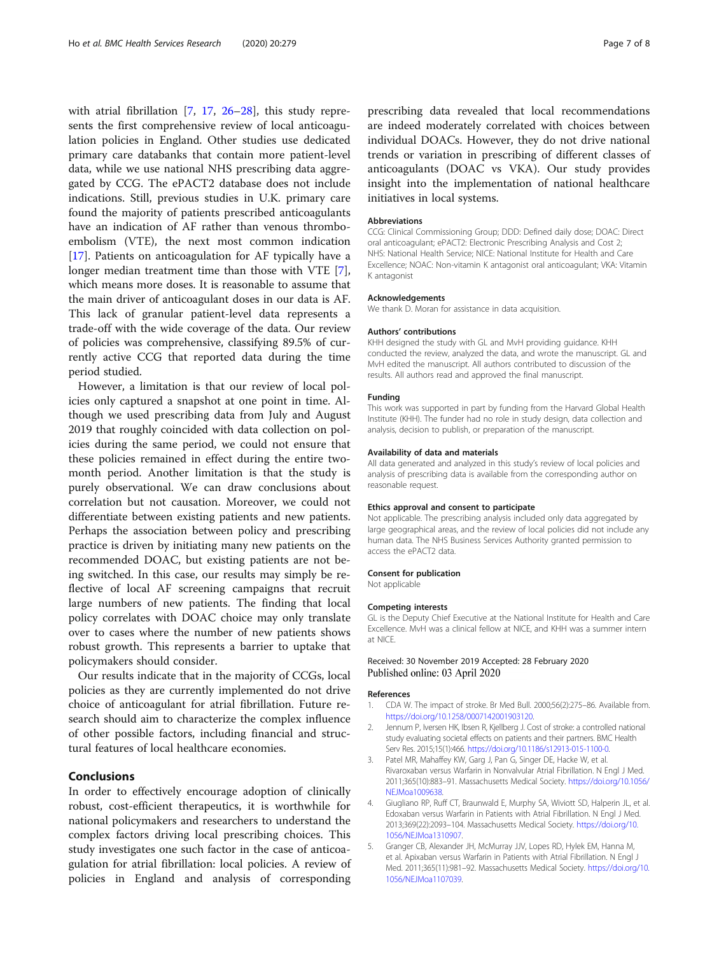<span id="page-6-0"></span>with atrial fibrillation [\[7](#page-7-0), [17,](#page-7-0) [26](#page-7-0)–[28](#page-7-0)], this study represents the first comprehensive review of local anticoagulation policies in England. Other studies use dedicated primary care databanks that contain more patient-level data, while we use national NHS prescribing data aggregated by CCG. The ePACT2 database does not include indications. Still, previous studies in U.K. primary care found the majority of patients prescribed anticoagulants have an indication of AF rather than venous thromboembolism (VTE), the next most common indication [[17\]](#page-7-0). Patients on anticoagulation for AF typically have a longer median treatment time than those with VTE [\[7](#page-7-0)], which means more doses. It is reasonable to assume that the main driver of anticoagulant doses in our data is AF. This lack of granular patient-level data represents a trade-off with the wide coverage of the data. Our review of policies was comprehensive, classifying 89.5% of currently active CCG that reported data during the time period studied.

However, a limitation is that our review of local policies only captured a snapshot at one point in time. Although we used prescribing data from July and August 2019 that roughly coincided with data collection on policies during the same period, we could not ensure that these policies remained in effect during the entire twomonth period. Another limitation is that the study is purely observational. We can draw conclusions about correlation but not causation. Moreover, we could not differentiate between existing patients and new patients. Perhaps the association between policy and prescribing practice is driven by initiating many new patients on the recommended DOAC, but existing patients are not being switched. In this case, our results may simply be reflective of local AF screening campaigns that recruit large numbers of new patients. The finding that local policy correlates with DOAC choice may only translate over to cases where the number of new patients shows robust growth. This represents a barrier to uptake that policymakers should consider.

Our results indicate that in the majority of CCGs, local policies as they are currently implemented do not drive choice of anticoagulant for atrial fibrillation. Future research should aim to characterize the complex influence of other possible factors, including financial and structural features of local healthcare economies.

## Conclusions

In order to effectively encourage adoption of clinically robust, cost-efficient therapeutics, it is worthwhile for national policymakers and researchers to understand the complex factors driving local prescribing choices. This study investigates one such factor in the case of anticoagulation for atrial fibrillation: local policies. A review of policies in England and analysis of corresponding

prescribing data revealed that local recommendations are indeed moderately correlated with choices between individual DOACs. However, they do not drive national trends or variation in prescribing of different classes of anticoagulants (DOAC vs VKA). Our study provides insight into the implementation of national healthcare initiatives in local systems.

#### Abbreviations

CCG: Clinical Commissioning Group; DDD: Defined daily dose; DOAC: Direct oral anticoagulant; ePACT2: Electronic Prescribing Analysis and Cost 2; NHS: National Health Service; NICE: National Institute for Health and Care Excellence; NOAC: Non-vitamin K antagonist oral anticoagulant; VKA: Vitamin K antagonist

#### Acknowledgements

We thank D. Moran for assistance in data acquisition.

#### Authors' contributions

KHH designed the study with GL and MvH providing guidance. KHH conducted the review, analyzed the data, and wrote the manuscript. GL and MvH edited the manuscript. All authors contributed to discussion of the results. All authors read and approved the final manuscript.

#### Funding

This work was supported in part by funding from the Harvard Global Health Institute (KHH). The funder had no role in study design, data collection and analysis, decision to publish, or preparation of the manuscript.

#### Availability of data and materials

All data generated and analyzed in this study's review of local policies and analysis of prescribing data is available from the corresponding author on reasonable request.

#### Ethics approval and consent to participate

Not applicable. The prescribing analysis included only data aggregated by large geographical areas, and the review of local policies did not include any human data. The NHS Business Services Authority granted permission to access the ePACT2 data.

#### Consent for publication

Not applicable

#### Competing interests

GL is the Deputy Chief Executive at the National Institute for Health and Care Excellence. MvH was a clinical fellow at NICE, and KHH was a summer intern at NICE.

### Received: 30 November 2019 Accepted: 28 February 2020 Published online: 03 April 2020

#### References

- 1. CDA W. The impact of stroke. Br Med Bull. 2000;56(2):275–86. Available from. [https://doi.org/10.1258/0007142001903120.](https://doi.org/10.1258/0007142001903120)
- 2. Jennum P, Iversen HK, Ibsen R, Kjellberg J. Cost of stroke: a controlled national study evaluating societal effects on patients and their partners. BMC Health Serv Res. 2015;15(1):466. <https://doi.org/10.1186/s12913-015-1100-0>.
- Patel MR, Mahaffey KW, Garg J, Pan G, Singer DE, Hacke W, et al. Rivaroxaban versus Warfarin in Nonvalvular Atrial Fibrillation. N Engl J Med. 2011;365(10):883–91. Massachusetts Medical Society. [https://doi.org/10.1056/](https://doi.org/10.1056/NEJMoa1009638) [NEJMoa1009638](https://doi.org/10.1056/NEJMoa1009638).
- 4. Giugliano RP, Ruff CT, Braunwald E, Murphy SA, Wiviott SD, Halperin JL, et al. Edoxaban versus Warfarin in Patients with Atrial Fibrillation. N Engl J Med. 2013;369(22):2093–104. Massachusetts Medical Society. [https://doi.org/10.](https://doi.org/10.1056/NEJMoa1310907) [1056/NEJMoa1310907](https://doi.org/10.1056/NEJMoa1310907).
- 5. Granger CB, Alexander JH, McMurray JJV, Lopes RD, Hylek EM, Hanna M, et al. Apixaban versus Warfarin in Patients with Atrial Fibrillation. N Engl J Med. 2011;365(11):981–92. Massachusetts Medical Society. [https://doi.org/10.](https://doi.org/10.1056/NEJMoa1107039) [1056/NEJMoa1107039](https://doi.org/10.1056/NEJMoa1107039).